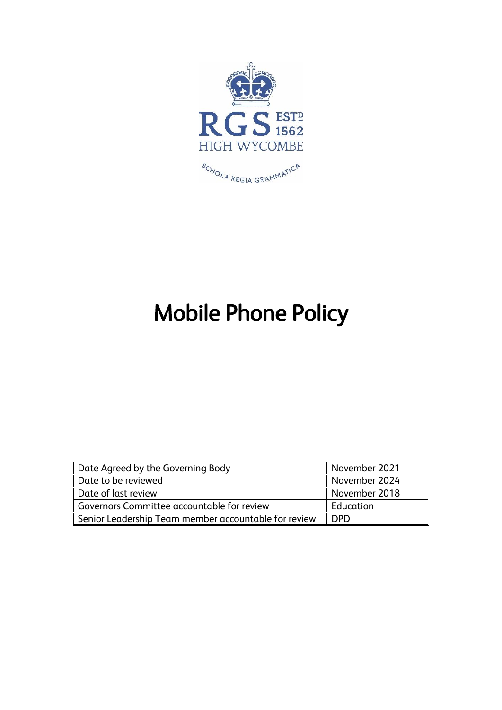

# Mobile Phone Policy

| Date Agreed by the Governing Body                    | November 2021    |
|------------------------------------------------------|------------------|
| Date to be reviewed                                  | November 2024    |
| Date of last review                                  | November 2018    |
| Governors Committee accountable for review           | <b>Education</b> |
| Senior Leadership Team member accountable for review | <b>DPD</b>       |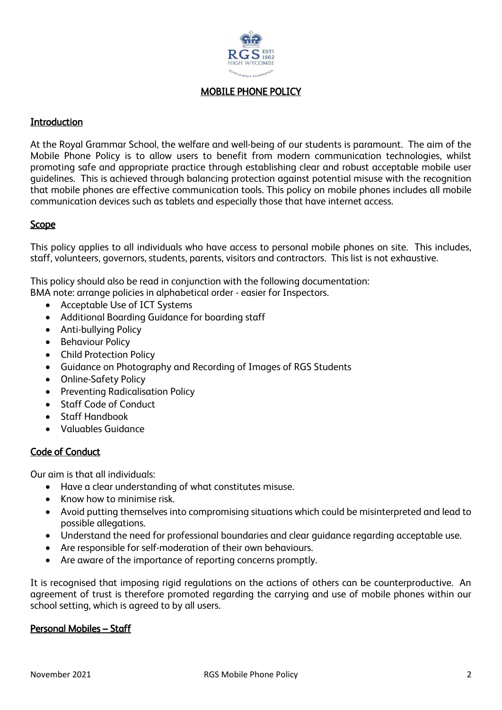

MOBILE PHONE POLICY

## Introduction

At the Royal Grammar School, the welfare and well-being of our students is paramount. The aim of the Mobile Phone Policy is to allow users to benefit from modern communication technologies, whilst promoting safe and appropriate practice through establishing clear and robust acceptable mobile user guidelines. This is achieved through balancing protection against potential misuse with the recognition that mobile phones are effective communication tools. This policy on mobile phones includes all mobile communication devices such as tablets and especially those that have internet access.

## **Scope**

This policy applies to all individuals who have access to personal mobile phones on site. This includes, staff, volunteers, governors, students, parents, visitors and contractors. This list is not exhaustive.

This policy should also be read in conjunction with the following documentation: BMA note: arrange policies in alphabetical order - easier for Inspectors.

- Acceptable Use of ICT Systems
- Additional Boarding Guidance for boarding staff
- Anti-bullying Policy
- Behaviour Policy
- Child Protection Policy
- Guidance on Photography and Recording of Images of RGS Students
- Online-Safety Policy
- Preventing Radicalisation Policy
- Staff Code of Conduct
- Staff Handbook
- Valuables Guidance

## Code of Conduct

Our aim is that all individuals:

- Have a clear understanding of what constitutes misuse.
- Know how to minimise risk.
- Avoid putting themselves into compromising situations which could be misinterpreted and lead to possible allegations.
- Understand the need for professional boundaries and clear guidance regarding acceptable use.
- Are responsible for self-moderation of their own behaviours.
- Are aware of the importance of reporting concerns promptly.

It is recognised that imposing rigid regulations on the actions of others can be counterproductive. An agreement of trust is therefore promoted regarding the carrying and use of mobile phones within our school setting, which is agreed to by all users.

## Personal Mobiles – Staff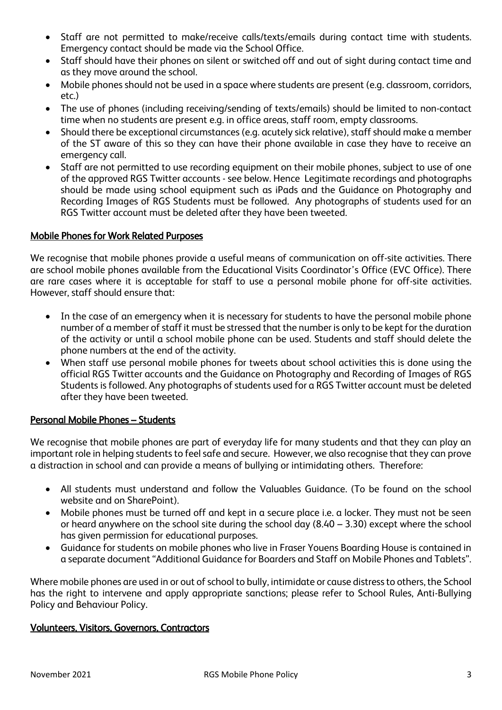- Staff are not permitted to make/receive calls/texts/emails during contact time with students. Emergency contact should be made via the School Office.
- Staff should have their phones on silent or switched off and out of sight during contact time and as they move around the school.
- Mobile phones should not be used in a space where students are present (e.g. classroom, corridors, etc.)
- The use of phones (including receiving/sending of texts/emails) should be limited to non-contact time when no students are present e.g. in office areas, staff room, empty classrooms.
- Should there be exceptional circumstances (e.g. acutely sick relative), staff should make a member of the ST aware of this so they can have their phone available in case they have to receive an emergency call.
- Staff are not permitted to use recording equipment on their mobile phones, subject to use of one of the approved RGS Twitter accounts - see below. Hence Legitimate recordings and photographs should be made using school equipment such as iPads and the Guidance on Photography and Recording Images of RGS Students must be followed. Any photographs of students used for an RGS Twitter account must be deleted after they have been tweeted.

## Mobile Phones for Work Related Purposes

We recognise that mobile phones provide a useful means of communication on off-site activities. There are school mobile phones available from the Educational Visits Coordinator's Office (EVC Office). There are rare cases where it is acceptable for staff to use a personal mobile phone for off-site activities. However, staff should ensure that:

- In the case of an emergency when it is necessary for students to have the personal mobile phone number of a member of staff it must be stressed that the number is only to be kept for the duration of the activity or until a school mobile phone can be used. Students and staff should delete the phone numbers at the end of the activity.
- When staff use personal mobile phones for tweets about school activities this is done using the official RGS Twitter accounts and the Guidance on Photography and Recording of Images of RGS Students is followed. Any photographs of students used for a RGS Twitter account must be deleted after they have been tweeted.

## Personal Mobile Phones – Students

We recognise that mobile phones are part of everyday life for many students and that they can play an important role in helping students to feel safe and secure. However, we also recognise that they can prove a distraction in school and can provide a means of bullying or intimidating others. Therefore:

- All students must understand and follow the Valuables Guidance. (To be found on the school website and on SharePoint).
- Mobile phones must be turned off and kept in a secure place i.e. a locker. They must not be seen or heard anywhere on the school site during the school day (8.40 – 3.30) except where the school has given permission for educational purposes.
- Guidance for students on mobile phones who live in Fraser Youens Boarding House is contained in a separate document "Additional Guidance for Boarders and Staff on Mobile Phones and Tablets".

Where mobile phones are used in or out of school to bully, intimidate or cause distress to others, the School has the right to intervene and apply appropriate sanctions; please refer to School Rules, Anti-Bullying Policy and Behaviour Policy.

## Volunteers, Visitors, Governors, Contractors